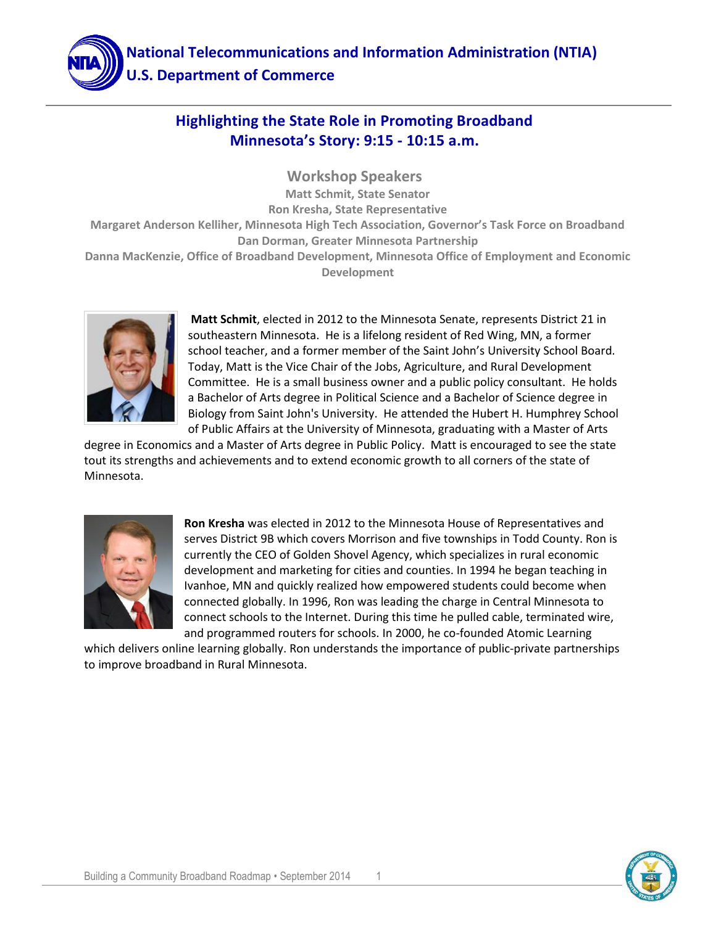

#### **Highlighting the State Role in Promoting Broadband Minnesota's Story: 9:15 - 10:15 a.m.**

**Workshop Speakers Matt Schmit, State Senator Ron Kresha, State Representative Margaret Anderson Kelliher, Minnesota High Tech Association, Governor's Task Force on Broadband Dan Dorman, Greater Minnesota Partnership Danna MacKenzie, Office of Broadband Development, Minnesota Office of Employment and Economic Development**



**Matt Schmit**, elected in 2012 to the Minnesota Senate, represents District 21 in southeastern Minnesota. He is a lifelong resident of Red Wing, MN, a former school teacher, and a former member of the Saint John's University School Board. Today, Matt is the Vice Chair of the Jobs, Agriculture, and Rural Development Committee. He is a small business owner and a public policy consultant. He holds a Bachelor of Arts degree in Political Science and a Bachelor of Science degree in Biology from Saint John's University. He attended the Hubert H. Humphrey School of Public Affairs at the University of Minnesota, graduating with a Master of Arts

degree in Economics and a Master of Arts degree in Public Policy. Matt is encouraged to see the state tout its strengths and achievements and to extend economic growth to all corners of the state of Minnesota.



**Ron Kresha** was elected in 2012 to the Minnesota House of Representatives and serves District 9B which covers Morrison and five townships in Todd County. Ron is currently the CEO of Golden Shovel Agency, which specializes in rural economic development and marketing for cities and counties. In 1994 he began teaching in Ivanhoe, MN and quickly realized how empowered students could become when connected globally. In 1996, Ron was leading the charge in Central Minnesota to connect schools to the Internet. During this time he pulled cable, terminated wire, and programmed routers for schools. In 2000, he co-founded Atomic Learning

which delivers online learning globally. Ron understands the importance of public-private partnerships to improve broadband in Rural Minnesota.

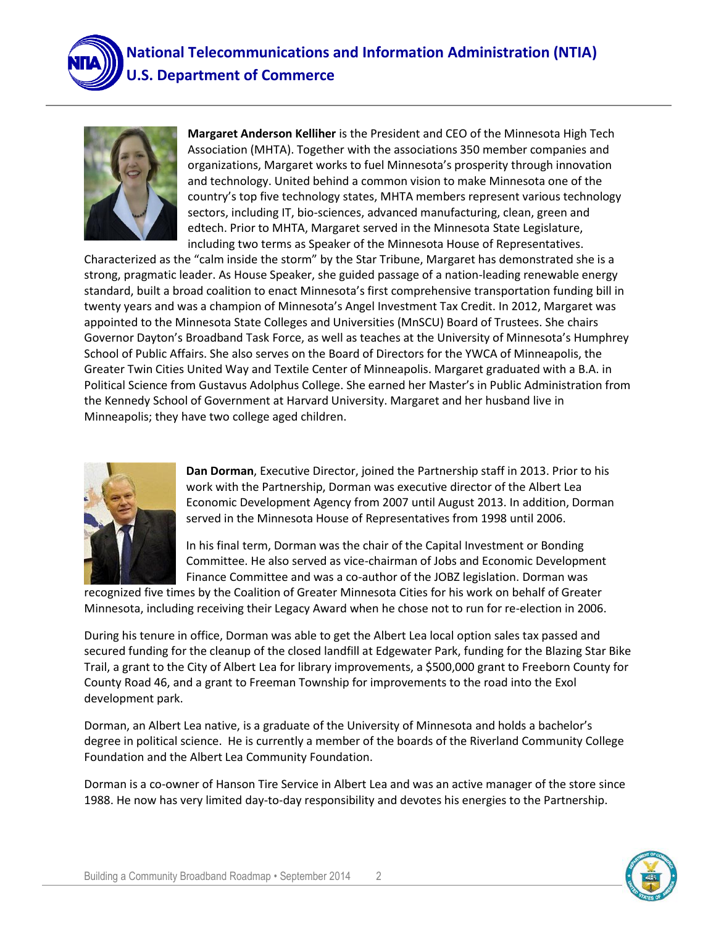



**Margaret Anderson Kelliher** is the President and CEO of the Minnesota High Tech Association (MHTA). Together with the associations 350 member companies and organizations, Margaret works to fuel Minnesota's prosperity through innovation and technology. United behind a common vision to make Minnesota one of the country's top five technology states, MHTA members represent various technology sectors, including IT, bio-sciences, advanced manufacturing, clean, green and edtech. Prior to MHTA, Margaret served in the Minnesota State Legislature, including two terms as Speaker of the Minnesota House of Representatives.

Characterized as the "calm inside the storm" by the Star Tribune, Margaret has demonstrated she is a strong, pragmatic leader. As House Speaker, she guided passage of a nation-leading renewable energy standard, built a broad coalition to enact Minnesota's first comprehensive transportation funding bill in twenty years and was a champion of Minnesota's Angel Investment Tax Credit. In 2012, Margaret was appointed to the Minnesota State Colleges and Universities (MnSCU) Board of Trustees. She chairs Governor Dayton's Broadband Task Force, as well as teaches at the University of Minnesota's Humphrey School of Public Affairs. She also serves on the Board of Directors for the YWCA of Minneapolis, the Greater Twin Cities United Way and Textile Center of Minneapolis. Margaret graduated with a B.A. in Political Science from Gustavus Adolphus College. She earned her Master's in Public Administration from the Kennedy School of Government at Harvard University. Margaret and her husband live in Minneapolis; they have two college aged children.



**Dan Dorman**, Executive Director, joined the Partnership staff in 2013. Prior to his work with the Partnership, Dorman was executive director of the Albert Lea Economic Development Agency from 2007 until August 2013. In addition, Dorman served in the Minnesota House of Representatives from 1998 until 2006.

In his final term, Dorman was the chair of the Capital Investment or Bonding Committee. He also served as vice-chairman of Jobs and Economic Development Finance Committee and was a co-author of the JOBZ legislation. Dorman was

recognized five times by the Coalition of Greater Minnesota Cities for his work on behalf of Greater Minnesota, including receiving their Legacy Award when he chose not to run for re-election in 2006.

During his tenure in office, Dorman was able to get the Albert Lea local option sales tax passed and secured funding for the cleanup of the closed landfill at Edgewater Park, funding for the Blazing Star Bike Trail, a grant to the City of Albert Lea for library improvements, a \$500,000 grant to Freeborn County for County Road 46, and a grant to Freeman Township for improvements to the road into the Exol development park.

Dorman, an Albert Lea native, is a graduate of the University of Minnesota and holds a bachelor's degree in political science. He is currently a member of the boards of the Riverland Community College Foundation and the Albert Lea Community Foundation.

Dorman is a co-owner of Hanson Tire Service in Albert Lea and was an active manager of the store since 1988. He now has very limited day-to-day responsibility and devotes his energies to the Partnership.

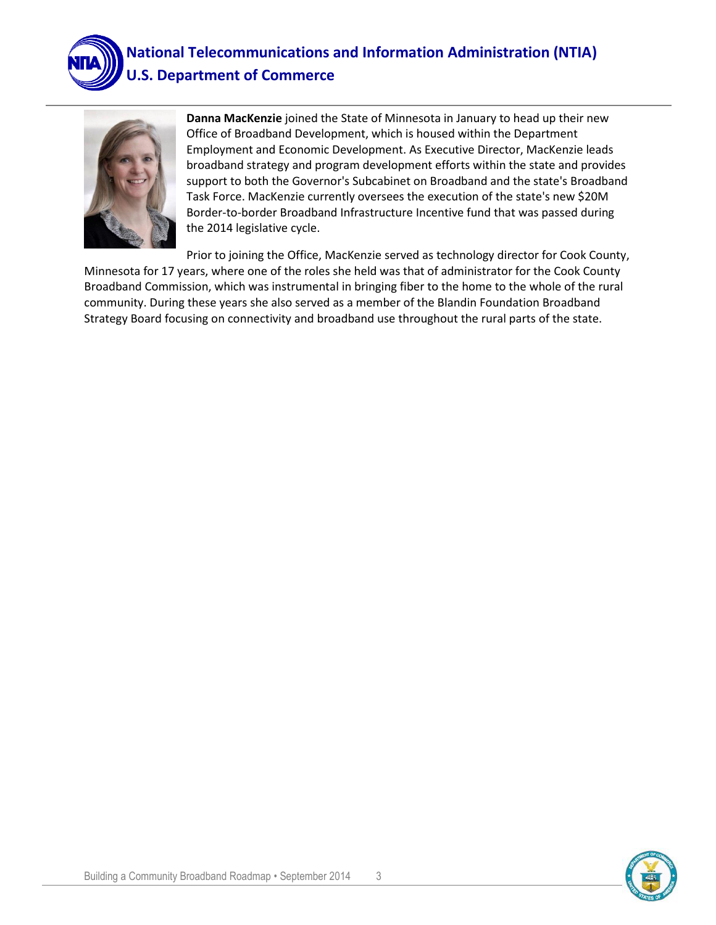

# **National Telecommunications and Information Administration (NTIA) U.S. Department of Commerce**



**Danna MacKenzie** joined the State of Minnesota in January to head up their new Office of Broadband Development, which is housed within the Department Employment and Economic Development. As Executive Director, MacKenzie leads broadband strategy and program development efforts within the state and provides support to both the Governor's Subcabinet on Broadband and the state's Broadband Task Force. MacKenzie currently oversees the execution of the state's new \$20M Border-to-border Broadband Infrastructure Incentive fund that was passed during the 2014 legislative cycle.

Prior to joining the Office, MacKenzie served as technology director for Cook County, Minnesota for 17 years, where one of the roles she held was that of administrator for the Cook County Broadband Commission, which was instrumental in bringing fiber to the home to the whole of the rural community. During these years she also served as a member of the Blandin Foundation Broadband Strategy Board focusing on connectivity and broadband use throughout the rural parts of the state.

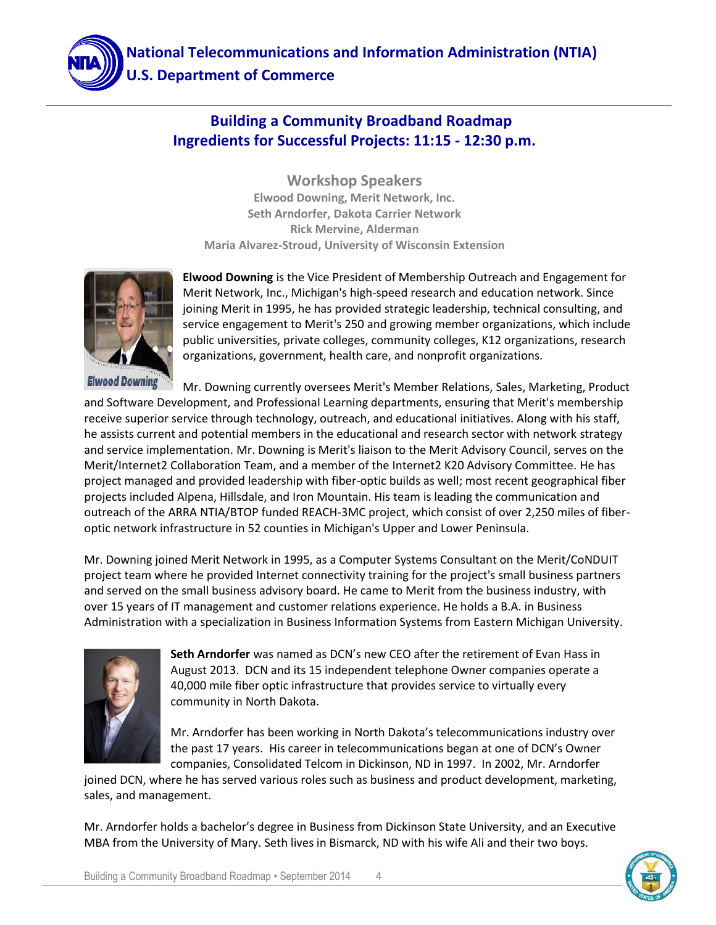## **Building a Community Broadband Roadmap Ingredients for Successful Projects: 11:15 - 12:30 p.m.**

**Workshop Speakers Elwood Downing, Merit Network, Inc. Seth Arndorfer, Dakota Carrier Network Rick Mervine, Alderman Maria Alvarez-Stroud, University of Wisconsin Extension**



**Elwood Downing** is the Vice President of Membership Outreach and Engagement for Merit Network, Inc., Michigan's high-speed research and education network. Since joining Merit in 1995, he has provided strategic leadership, technical consulting, and service engagement to Merit's 250 and growing member organizations, which include public universities, private colleges, community colleges, K12 organizations, research organizations, government, health care, and nonprofit organizations.

**Elwood Downing** Mr. Downing currently oversees Merit's Member Relations, Sales, Marketing, Product and Software Development, and Professional Learning departments, ensuring that Merit's membership receive superior service through technology, outreach, and educational initiatives. Along with his staff, he assists current and potential members in the educational and research sector with network strategy and service implementation. Mr. Downing is Merit's liaison to the Merit Advisory Council, serves on the Merit/Internet2 Collaboration Team, and a member of the Internet2 K20 Advisory Committee. He has project managed and provided leadership with fiber-optic builds as well; most recent geographical fiber projects included Alpena, Hillsdale, and Iron Mountain. His team is leading the communication and outreach of the ARRA NTIA/BTOP funded REACH-3MC project, which consist of over 2,250 miles of fiberoptic network infrastructure in 52 counties in Michigan's Upper and Lower Peninsula.

Mr. Downing joined Merit Network in 1995, as a Computer Systems Consultant on the Merit/CoNDUIT project team where he provided Internet connectivity training for the project's small business partners and served on the small business advisory board. He came to Merit from the business industry, with over 15 years of IT management and customer relations experience. He holds a B.A. in Business Administration with a specialization in Business Information Systems from Eastern Michigan University.



**Seth Arndorfer** was named as DCN's new CEO after the retirement of Evan Hass in August 2013. DCN and its 15 independent telephone Owner companies operate a 40,000 mile fiber optic infrastructure that provides service to virtually every community in North Dakota.

Mr. Arndorfer has been working in North Dakota's telecommunications industry over the past 17 years. His career in telecommunications began at one of DCN's Owner companies, Consolidated Telcom in Dickinson, ND in 1997. In 2002, Mr. Arndorfer

joined DCN, where he has served various roles such as business and product development, marketing, sales, and management.

Mr. Arndorfer holds a bachelor's degree in Business from Dickinson State University, and an Executive MBA from the University of Mary. Seth lives in Bismarck, ND with his wife Ali and their two boys.

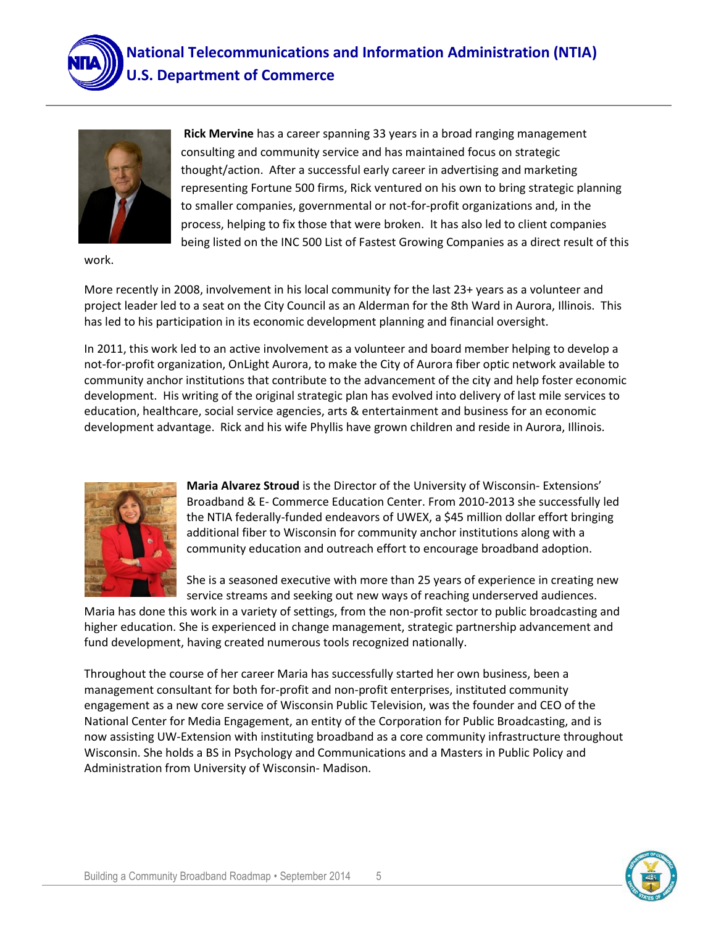



**Rick Mervine** has a career spanning 33 years in a broad ranging management consulting and community service and has maintained focus on strategic thought/action. After a successful early career in advertising and marketing representing Fortune 500 firms, Rick ventured on his own to bring strategic planning to smaller companies, governmental or not-for-profit organizations and, in the process, helping to fix those that were broken. It has also led to client companies being listed on the INC 500 List of Fastest Growing Companies as a direct result of this

work.

More recently in 2008, involvement in his local community for the last 23+ years as a volunteer and project leader led to a seat on the City Council as an Alderman for the 8th Ward in Aurora, Illinois. This has led to his participation in its economic development planning and financial oversight.

In 2011, this work led to an active involvement as a volunteer and board member helping to develop a not-for-profit organization, OnLight Aurora, to make the City of Aurora fiber optic network available to community anchor institutions that contribute to the advancement of the city and help foster economic development. His writing of the original strategic plan has evolved into delivery of last mile services to education, healthcare, social service agencies, arts & entertainment and business for an economic development advantage. Rick and his wife Phyllis have grown children and reside in Aurora, Illinois.



**Maria Alvarez Stroud** is the Director of the University of Wisconsin- Extensions' Broadband & E- Commerce Education Center. From 2010-2013 she successfully led the NTIA federally-funded endeavors of UWEX, a \$45 million dollar effort bringing additional fiber to Wisconsin for community anchor institutions along with a community education and outreach effort to encourage broadband adoption.

She is a seasoned executive with more than 25 years of experience in creating new service streams and seeking out new ways of reaching underserved audiences.

Maria has done this work in a variety of settings, from the non-profit sector to public broadcasting and higher education. She is experienced in change management, strategic partnership advancement and fund development, having created numerous tools recognized nationally.

Throughout the course of her career Maria has successfully started her own business, been a management consultant for both for-profit and non-profit enterprises, instituted community engagement as a new core service of Wisconsin Public Television, was the founder and CEO of the National Center for Media Engagement, an entity of the Corporation for Public Broadcasting, and is now assisting UW-Extension with instituting broadband as a core community infrastructure throughout Wisconsin. She holds a BS in Psychology and Communications and a Masters in Public Policy and Administration from University of Wisconsin- Madison.

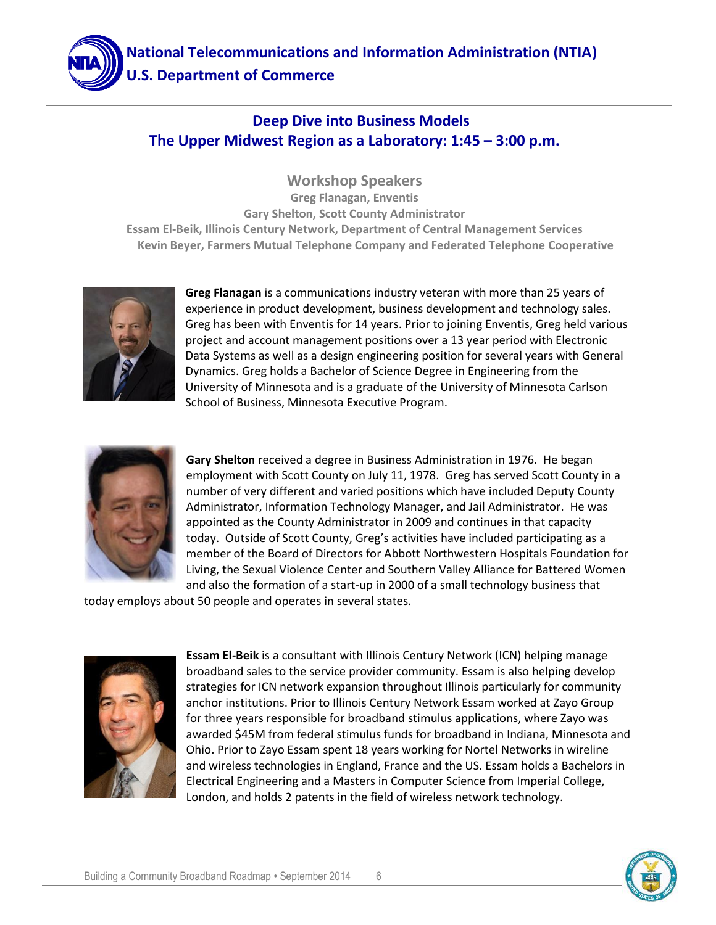

#### **Deep Dive into Business Models The Upper Midwest Region as a Laboratory: 1:45 – 3:00 p.m.**

**Workshop Speakers Greg Flanagan, Enventis Gary Shelton, Scott County Administrator Essam El-Beik, Illinois Century Network, Department of Central Management Services Kevin Beyer, Farmers Mutual Telephone Company and Federated Telephone Cooperative** 



**Greg Flanagan** is a communications industry veteran with more than 25 years of experience in product development, business development and technology sales. Greg has been with Enventis for 14 years. Prior to joining Enventis, Greg held various project and account management positions over a 13 year period with Electronic Data Systems as well as a design engineering position for several years with General Dynamics. Greg holds a Bachelor of Science Degree in Engineering from the University of Minnesota and is a graduate of the University of Minnesota Carlson School of Business, Minnesota Executive Program.



**Gary Shelton** received a degree in Business Administration in 1976. He began employment with Scott County on July 11, 1978. Greg has served Scott County in a number of very different and varied positions which have included Deputy County Administrator, Information Technology Manager, and Jail Administrator. He was appointed as the County Administrator in 2009 and continues in that capacity today. Outside of Scott County, Greg's activities have included participating as a member of the Board of Directors for Abbott Northwestern Hospitals Foundation for Living, the Sexual Violence Center and Southern Valley Alliance for Battered Women and also the formation of a start-up in 2000 of a small technology business that

today employs about 50 people and operates in several states.



**Essam El-Beik** is a consultant with Illinois Century Network (ICN) helping manage broadband sales to the service provider community. Essam is also helping develop strategies for ICN network expansion throughout Illinois particularly for community anchor institutions. Prior to Illinois Century Network Essam worked at Zayo Group for three years responsible for broadband stimulus applications, where Zayo was awarded \$45M from federal stimulus funds for broadband in Indiana, Minnesota and Ohio. Prior to Zayo Essam spent 18 years working for Nortel Networks in wireline and wireless technologies in England, France and the US. Essam holds a Bachelors in Electrical Engineering and a Masters in Computer Science from Imperial College, London, and holds 2 patents in the field of wireless network technology.

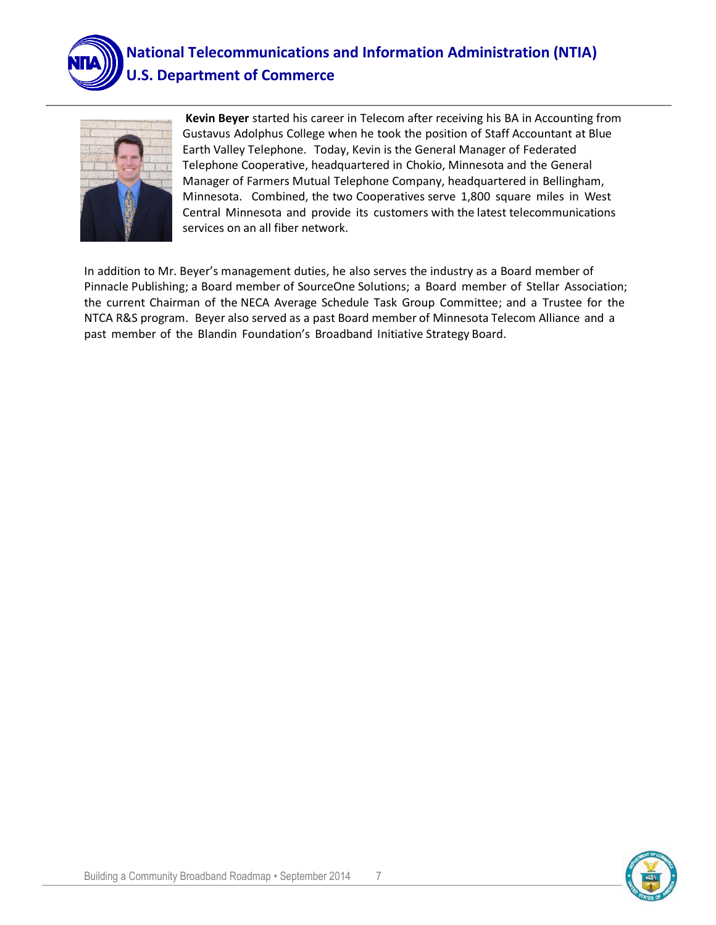

## **National Telecommunications and Information Administration (NTIA) U.S. Department of Commerce**



**Kevin Beyer** started his career in Telecom after receiving his BA in Accounting from Gustavus Adolphus College when he took the position of Staff Accountant at Blue Earth Valley Telephone. Today, Kevin is the General Manager of Federated Telephone Cooperative, headquartered in Chokio, Minnesota and the General Manager of Farmers Mutual Telephone Company, headquartered in Bellingham, Minnesota. Combined, the two Cooperatives serve 1,800 square miles in West Central Minnesota and provide its customers with the latest telecommunications services on an all fiber network.

In addition to Mr. Beyer's management duties, he also serves the industry as a Board member of Pinnacle Publishing; a Board member of SourceOne Solutions; a Board member of Stellar Association; the current Chairman of the NECA Average Schedule Task Group Committee; and a Trustee for the NTCA R&S program. Beyer also served as a past Board member of Minnesota Telecom Alliance and a past member of the Blandin Foundation's Broadband Initiative Strategy Board.

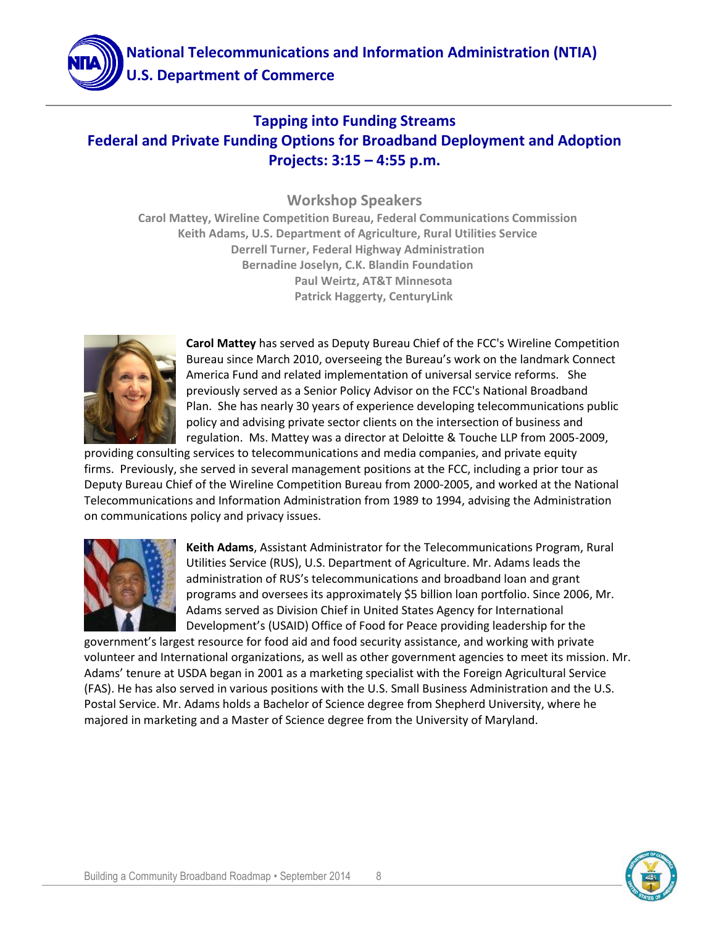

### **Tapping into Funding Streams Federal and Private Funding Options for Broadband Deployment and Adoption Projects: 3:15 – 4:55 p.m.**

**Workshop Speakers**

**Carol Mattey, Wireline Competition Bureau, Federal Communications Commission Keith Adams, U.S. Department of Agriculture, Rural Utilities Service Derrell Turner, Federal Highway Administration Bernadine Joselyn, C.K. Blandin Foundation Paul Weirtz, AT&T Minnesota Patrick Haggerty, CenturyLink**



**Carol Mattey** has served as Deputy Bureau Chief of the FCC's Wireline Competition Bureau since March 2010, overseeing the Bureau's work on the landmark Connect America Fund and related implementation of universal service reforms. She previously served as a Senior Policy Advisor on the FCC's National Broadband Plan. She has nearly 30 years of experience developing telecommunications public policy and advising private sector clients on the intersection of business and regulation. Ms. Mattey was a director at Deloitte & Touche LLP from 2005-2009,

providing consulting services to telecommunications and media companies, and private equity firms. Previously, she served in several management positions at the FCC, including a prior tour as Deputy Bureau Chief of the Wireline Competition Bureau from 2000-2005, and worked at the National Telecommunications and Information Administration from 1989 to 1994, advising the Administration on communications policy and privacy issues.



**Keith Adams**, Assistant Administrator for the Telecommunications Program, Rural Utilities Service (RUS), U.S. Department of Agriculture. Mr. Adams leads the administration of RUS's telecommunications and broadband loan and grant programs and oversees its approximately \$5 billion loan portfolio. Since 2006, Mr. Adams served as Division Chief in United States Agency for International Development's (USAID) Office of Food for Peace providing leadership for the

government's largest resource for food aid and food security assistance, and working with private volunteer and International organizations, as well as other government agencies to meet its mission. Mr. Adams' tenure at USDA began in 2001 as a marketing specialist with the Foreign Agricultural Service (FAS). He has also served in various positions with the U.S. Small Business Administration and the U.S. Postal Service. Mr. Adams holds a Bachelor of Science degree from Shepherd University, where he majored in marketing and a Master of Science degree from the University of Maryland.

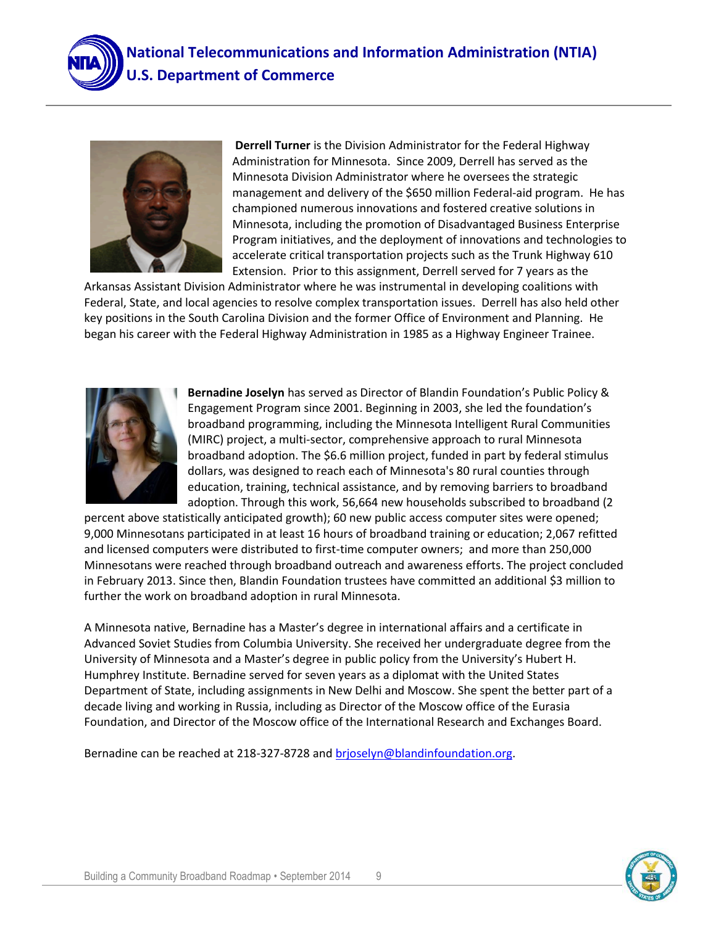



**Derrell Turner** is the Division Administrator for the Federal Highway Administration for Minnesota. Since 2009, Derrell has served as the Minnesota Division Administrator where he oversees the strategic management and delivery of the \$650 million Federal-aid program. He has championed numerous innovations and fostered creative solutions in Minnesota, including the promotion of Disadvantaged Business Enterprise Program initiatives, and the deployment of innovations and technologies to accelerate critical transportation projects such as the Trunk Highway 610 Extension. Prior to this assignment, Derrell served for 7 years as the

Arkansas Assistant Division Administrator where he was instrumental in developing coalitions with Federal, State, and local agencies to resolve complex transportation issues. Derrell has also held other key positions in the South Carolina Division and the former Office of Environment and Planning. He began his career with the Federal Highway Administration in 1985 as a Highway Engineer Trainee.



**Bernadine Joselyn** has served as Director of Blandin Foundation's Public Policy & Engagement Program since 2001. Beginning in 2003, she led the foundation's broadband programming, including the Minnesota Intelligent Rural Communities (MIRC) project, a multi-sector, comprehensive approach to rural Minnesota broadband adoption. The \$6.6 million project, funded in part by federal stimulus dollars, was designed to reach each of Minnesota's 80 rural counties through education, training, technical assistance, and by removing barriers to broadband adoption. Through this work, 56,664 new households subscribed to broadband (2

percent above statistically anticipated growth); 60 new public access computer sites were opened; 9,000 Minnesotans participated in at least 16 hours of broadband training or education; 2,067 refitted and licensed computers were distributed to first-time computer owners; and more than 250,000 Minnesotans were reached through broadband outreach and awareness efforts. The project concluded in February 2013. Since then, Blandin Foundation trustees have committed an additional \$3 million to further the work on broadband adoption in rural Minnesota.

A Minnesota native, Bernadine has a Master's degree in international affairs and a certificate in Advanced Soviet Studies from Columbia University. She received her undergraduate degree from the University of Minnesota and a Master's degree in public policy from the University's Hubert H. Humphrey Institute. Bernadine served for seven years as a diplomat with the United States Department of State, including assignments in New Delhi and Moscow. She spent the better part of a decade living and working in Russia, including as Director of the Moscow office of the Eurasia Foundation, and Director of the Moscow office of the International Research and Exchanges Board.

Bernadine can be reached at 218-327-8728 and [brjoselyn@blandinfoundation.org.](mailto:brjoselyn@blandinfoundation.org)